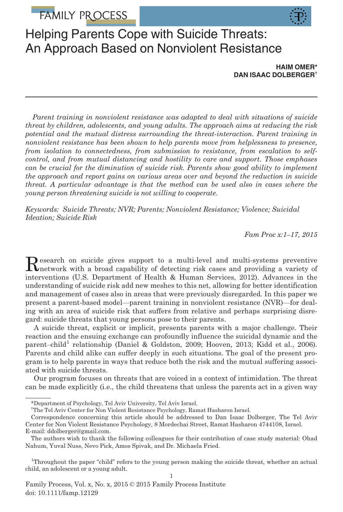# FAMILY PROCESS



# Helping Parents Cope with Suicide Threats: An Approach Based on Nonviolent Resistance

HAIM OMER\* DAN ISAAC DOLBERGER†

Parent training in nonviolent resistance was adapted to deal with situations of suicide threat by children, adolescents, and young adults. The approach aims at reducing the risk potential and the mutual distress surrounding the threat-interaction. Parent training in nonviolent resistance has been shown to help parents move from helplessness to presence, from isolation to connectedness, from submission to resistance, from escalation to selfcontrol, and from mutual distancing and hostility to care and support. Those emphases can be crucial for the diminution of suicide risk. Parents show good ability to implement the approach and report gains on various areas over and beyond the reduction in suicide threat. A particular advantage is that the method can be used also in cases where the young person threatening suicide is not willing to cooperate.

Keywords: Suicide Threats; NVR; Parents; Nonviolent Resistance; Violence; Suicidal Ideation; Suicide Risk

Fam Proc x:1–17, 2015

Research on suicide gives support to a multi-level and multi-systems preventive<br>metwork with a broad capability of detecting risk cases and providing a variety of interventions (U.S. Department of Health & Human Services, 2012). Advances in the understanding of suicide risk add new meshes to this net, allowing for better identification and management of cases also in areas that were previously disregarded. In this paper we present a parent-based model—parent training in nonviolent resistance (NVR)—for dealing with an area of suicide risk that suffers from relative and perhaps surprising disregard: suicide threats that young persons pose to their parents.

A suicide threat, explicit or implicit, presents parents with a major challenge. Their reaction and the ensuing exchange can profoundly influence the suicidal dynamic and the parent-child<sup>1</sup> relationship (Daniel & Goldston, 2009; Hooven, 2013; Kidd et al., 2006). Parents and child alike can suffer deeply in such situations. The goal of the present program is to help parents in ways that reduce both the risk and the mutual suffering associated with suicide threats.

Our program focuses on threats that are voiced in a context of intimidation. The threat can be made explicitly (i.e., the child threatens that unless the parents act in a given way

<sup>\*</sup>Department of Psychology, Tel Aviv University, Tel Aviv Israel.

<sup>†</sup> The Tel Aviv Center for Non Violent Resistance Psychology, Ramat Hasharon Israel.

Correspondence concerning this article should be addressed to Dan Isaac Dolberger, The Tel Aviv Center for Non Violent Resistance Psychology, 8 Mordechai Street, Ramat Hasharon 4744108, Israel.

E-mail: ddolberger@gmail.com.

The authors wish to thank the following colleagues for their contribution of case study material: Ohad Nahum, Yuval Nuss, Nevo Pick, Amos Spivak, and Dr. Michaela Fried.

<sup>1</sup> Throughout the paper "child" refers to the young person making the suicide threat, whether an actual child, an adolescent or a young adult.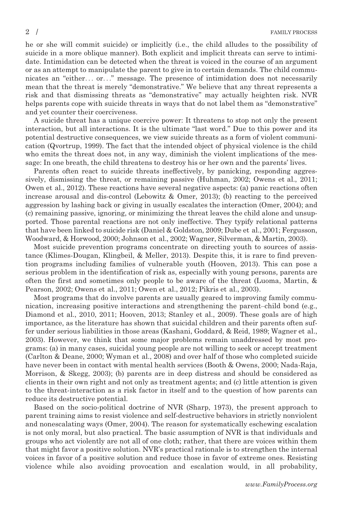he or she will commit suicide) or implicitly (i.e., the child alludes to the possibility of suicide in a more oblique manner). Both explicit and implicit threats can serve to intimidate. Intimidation can be detected when the threat is voiced in the course of an argument or as an attempt to manipulate the parent to give in to certain demands. The child communicates an "either... or..." message. The presence of intimidation does not necessarily mean that the threat is merely "demonstrative." We believe that any threat represents a risk and that dismissing threats as "demonstrative" may actually heighten risk. NVR helps parents cope with suicide threats in ways that do not label them as "demonstrative" and yet counter their coerciveness.

A suicide threat has a unique coercive power: It threatens to stop not only the present interaction, but all interactions. It is the ultimate "last word." Due to this power and its potential destructive consequences, we view suicide threats as a form of violent communication (Qvortrup, 1999). The fact that the intended object of physical violence is the child who emits the threat does not, in any way, diminish the violent implications of the message: In one breath, the child threatens to destroy his or her own and the parents' lives.

Parents often react to suicide threats ineffectively, by panicking, responding aggressively, dismissing the threat, or remaining passive (Huhman, 2002; Owens et al., 2011; Owen et al., 2012). These reactions have several negative aspects: (a) panic reactions often increase arousal and dis-control (Lebowitz & Omer, 2013); (b) reacting to the perceived aggression by lashing back or giving in usually escalates the interaction (Omer, 2004); and (c) remaining passive, ignoring, or minimizing the threat leaves the child alone and unsupported. Those parental reactions are not only ineffective. They typify relational patterns that have been linked to suicide risk (Daniel & Goldston, 2009; Dube et al., 2001; Fergusson, Woodward, & Horwood, 2000; Johnson et al., 2002; Wagner, Silverman, & Martin, 2003).

Most suicide prevention programs concentrate on directing youth to sources of assistance (Klimes-Dougan, Klingbeil, & Meller, 2013). Despite this, it is rare to find prevention programs including families of vulnerable youth (Hooven, 2013). This can pose a serious problem in the identification of risk as, especially with young persons, parents are often the first and sometimes only people to be aware of the threat (Luoma, Martin, & Pearson, 2002; Owens et al., 2011; Owen et al., 2012; Pikris et al., 2003).

Most programs that do involve parents are usually geared to improving family communication, increasing positive interactions and strengthening the parent–child bond (e.g., Diamond et al., 2010, 2011; Hooven, 2013; Stanley et al., 2009). These goals are of high importance, as the literature has shown that suicidal children and their parents often suffer under serious liabilities in those areas (Kashani, Goddard, & Reid, 1989; Wagner et al., 2003). However, we think that some major problems remain unaddressed by most programs: (a) in many cases, suicidal young people are not willing to seek or accept treatment (Carlton & Deane, 2000; Wyman et al., 2008) and over half of those who completed suicide have never been in contact with mental health services (Booth & Owens, 2000; Nada-Raja, Morrison, & Skegg, 2003); (b) parents are in deep distress and should be considered as clients in their own right and not only as treatment agents; and (c) little attention is given to the threat-interaction as a risk factor in itself and to the question of how parents can reduce its destructive potential.

Based on the socio-political doctrine of NVR (Sharp, 1973), the present approach to parent training aims to resist violence and self-destructive behaviors in strictly nonviolent and nonescalating ways (Omer, 2004). The reason for systematically eschewing escalation is not only moral, but also practical. The basic assumption of NVR is that individuals and groups who act violently are not all of one cloth; rather, that there are voices within them that might favor a positive solution. NVR's practical rationale is to strengthen the internal voices in favor of a positive solution and reduce those in favor of extreme ones. Resisting violence while also avoiding provocation and escalation would, in all probability,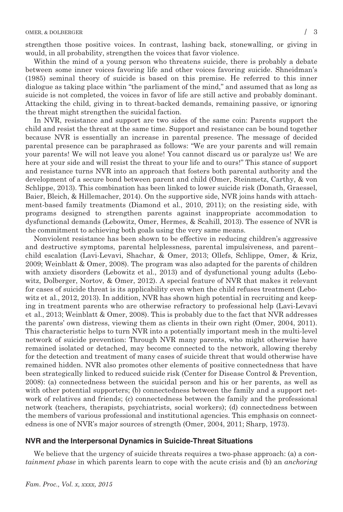strengthen those positive voices. In contrast, lashing back, stonewalling, or giving in would, in all probability, strengthen the voices that favor violence.

Within the mind of a young person who threatens suicide, there is probably a debate between some inner voices favoring life and other voices favoring suicide. Shneidman's (1985) seminal theory of suicide is based on this premise. He referred to this inner dialogue as taking place within "the parliament of the mind," and assumed that as long as suicide is not completed, the voices in favor of life are still active and probably dominant. Attacking the child, giving in to threat-backed demands, remaining passive, or ignoring the threat might strengthen the suicidal faction.

In NVR, resistance and support are two sides of the same coin: Parents support the child and resist the threat at the same time. Support and resistance can be bound together because NVR is essentially an increase in parental presence. The message of decided parental presence can be paraphrased as follows: "We are your parents and will remain your parents! We will not leave you alone! You cannot discard us or paralyze us! We are here at your side and will resist the threat to your life and to ours!" This stance of support and resistance turns NVR into an approach that fosters both parental authority and the development of a secure bond between parent and child (Omer, Steinmetz, Carthy, & von Schlippe, 2013). This combination has been linked to lower suicide risk (Donath, Graessel, Baier, Bleich, & Hillemacher, 2014). On the supportive side, NVR joins hands with attachment-based family treatments (Diamond et al., 2010, 2011); on the resisting side, with programs designed to strengthen parents against inappropriate accommodation to dysfunctional demands (Lebowitz, Omer, Hermes, & Scahill, 2013). The essence of NVR is the commitment to achieving both goals using the very same means.

Nonviolent resistance has been shown to be effective in reducing children's aggressive and destructive symptoms, parental helplessness, parental impulsiveness, and parent– child escalation (Lavi-Levavi, Shachar, & Omer, 2013; Ollefs, Schlippe, Omer, & Kriz, 2009; Weinblatt & Omer, 2008). The program was also adapted for the parents of children with anxiety disorders (Lebowitz et al., 2013) and of dysfunctional young adults (Lebowitz, Dolberger, Nortov, & Omer, 2012). A special feature of NVR that makes it relevant for cases of suicide threat is its applicability even when the child refuses treatment (Lebowitz et al., 2012, 2013). In addition, NVR has shown high potential in recruiting and keeping in treatment parents who are otherwise refractory to professional help (Lavi-Levavi et al., 2013; Weinblatt & Omer, 2008). This is probably due to the fact that NVR addresses the parents' own distress, viewing them as clients in their own right (Omer, 2004, 2011). This characteristic helps to turn NVR into a potentially important mesh in the multi-level network of suicide prevention: Through NVR many parents, who might otherwise have remained isolated or detached, may become connected to the network, allowing thereby for the detection and treatment of many cases of suicide threat that would otherwise have remained hidden. NVR also promotes other elements of positive connectedness that have been strategically linked to reduced suicide risk (Center for Disease Control & Prevention, 2008): (a) connectedness between the suicidal person and his or her parents, as well as with other potential supporters; (b) connectedness between the family and a support network of relatives and friends; (c) connectedness between the family and the professional network (teachers, therapists, psychiatrists, social workers); (d) connectedness between the members of various professional and institutional agencies. This emphasis on connectedness is one of NVR's major sources of strength (Omer, 2004, 2011; Sharp, 1973).

# NVR and the Interpersonal Dynamics in Suicide-Threat Situations

We believe that the urgency of suicide threats requires a two-phase approach: (a) a containment phase in which parents learn to cope with the acute crisis and (b) an anchoring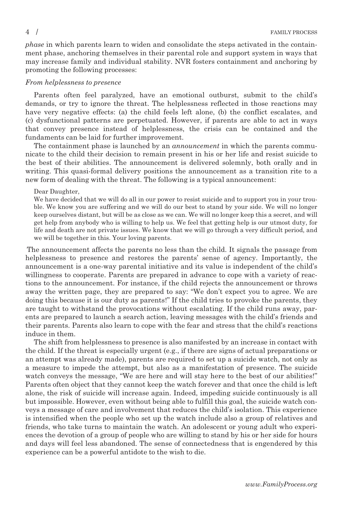phase in which parents learn to widen and consolidate the steps activated in the containment phase, anchoring themselves in their parental role and support system in ways that may increase family and individual stability. NVR fosters containment and anchoring by promoting the following processes:

# From helplessness to presence

Parents often feel paralyzed, have an emotional outburst, submit to the child's demands, or try to ignore the threat. The helplessness reflected in those reactions may have very negative effects: (a) the child feels left alone, (b) the conflict escalates, and (c) dysfunctional patterns are perpetuated. However, if parents are able to act in ways that convey presence instead of helplessness, the crisis can be contained and the fundaments can be laid for further improvement.

The containment phase is launched by an *announcement* in which the parents communicate to the child their decision to remain present in his or her life and resist suicide to the best of their abilities. The announcement is delivered solemnly, both orally and in writing. This quasi-formal delivery positions the announcement as a transition rite to a new form of dealing with the threat. The following is a typical announcement:

# Dear Daughter,

We have decided that we will do all in our power to resist suicide and to support you in your trouble. We know you are suffering and we will do our best to stand by your side. We will no longer keep ourselves distant, but will be as close as we can. We will no longer keep this a secret, and will get help from anybody who is willing to help us. We feel that getting help is our utmost duty, for life and death are not private issues. We know that we will go through a very difficult period, and we will be together in this. Your loving parents.

The announcement affects the parents no less than the child. It signals the passage from helplessness to presence and restores the parents' sense of agency. Importantly, the announcement is a one-way parental initiative and its value is independent of the child's willingness to cooperate. Parents are prepared in advance to cope with a variety of reactions to the announcement. For instance, if the child rejects the announcement or throws away the written page, they are prepared to say: "We don't expect you to agree. We are doing this because it is our duty as parents!" If the child tries to provoke the parents, they are taught to withstand the provocations without escalating. If the child runs away, parents are prepared to launch a search action, leaving messages with the child's friends and their parents. Parents also learn to cope with the fear and stress that the child's reactions induce in them.

The shift from helplessness to presence is also manifested by an increase in contact with the child. If the threat is especially urgent (e.g., if there are signs of actual preparations or an attempt was already made), parents are required to set up a suicide watch, not only as a measure to impede the attempt, but also as a manifestation of presence. The suicide watch conveys the message, "We are here and will stay here to the best of our abilities!" Parents often object that they cannot keep the watch forever and that once the child is left alone, the risk of suicide will increase again. Indeed, impeding suicide continuously is all but impossible. However, even without being able to fulfill this goal, the suicide watch conveys a message of care and involvement that reduces the child's isolation. This experience is intensified when the people who set up the watch include also a group of relatives and friends, who take turns to maintain the watch. An adolescent or young adult who experiences the devotion of a group of people who are willing to stand by his or her side for hours and days will feel less abandoned. The sense of connectedness that is engendered by this experience can be a powerful antidote to the wish to die.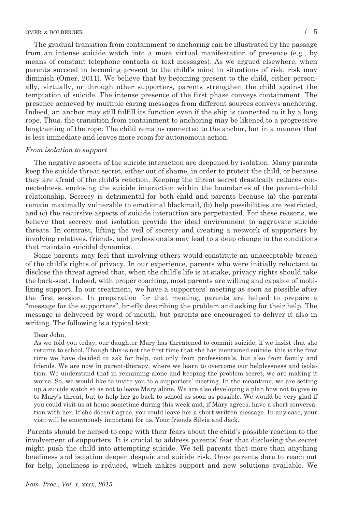The gradual transition from containment to anchoring can be illustrated by the passage from an intense suicide watch into a more virtual manifestation of presence (e.g., by means of constant telephone contacts or text messages). As we argued elsewhere, when parents succeed in becoming present to the child's mind in situations of risk, risk may diminish (Omer, 2011). We believe that by becoming present to the child, either personally, virtually, or through other supporters, parents strengthen the child against the temptation of suicide. The intense presence of the first phase conveys containment. The presence achieved by multiple caring messages from different sources conveys anchoring. Indeed, an anchor may still fulfill its function even if the ship is connected to it by a long rope. Thus, the transition from containment to anchoring may be likened to a progressive lengthening of the rope: The child remains connected to the anchor, but in a manner that is less immediate and leaves more room for autonomous action.

#### From isolation to support

The negative aspects of the suicide interaction are deepened by isolation. Many parents keep the suicide threat secret, either out of shame, in order to protect the child, or because they are afraid of the child's reaction. Keeping the threat secret drastically reduces connectedness, enclosing the suicide interaction within the boundaries of the parent–child relationship. Secrecy is detrimental for both child and parents because (a) the parents remain maximally vulnerable to emotional blackmail, (b) help possibilities are restricted, and (c) the recursive aspects of suicide interaction are perpetuated. For these reasons, we believe that secrecy and isolation provide the ideal environment to aggravate suicide threats. In contrast, lifting the veil of secrecy and creating a network of supporters by involving relatives, friends, and professionals may lead to a deep change in the conditions that maintain suicidal dynamics.

Some parents may feel that involving others would constitute an unacceptable breach of the child's rights of privacy. In our experience, parents who were initially reluctant to disclose the threat agreed that, when the child's life is at stake, privacy rights should take the back-seat. Indeed, with proper coaching, most parents are willing and capable of mobilizing support. In our treatment, we have a supporters' meeting as soon as possible after the first session. In preparation for that meeting, parents are helped to prepare a "message for the supporters", briefly describing the problem and asking for their help. The message is delivered by word of mouth, but parents are encouraged to deliver it also in writing. The following is a typical text:

#### Dear John,

As we told you today, our daughter Mary has threatened to commit suicide, if we insist that she returns to school. Though this is not the first time that she has mentioned suicide, this is the first time we have decided to ask for help, not only from professionals, but also from family and friends. We are now in parent-therapy, where we learn to overcome our helplessness and isolation. We understand that in remaining alone and keeping the problem secret, we are making it worse. So, we would like to invite you to a supporters' meeting. In the meantime, we are setting up a suicide watch so as not to leave Mary alone. We are also developing a plan how not to give in to Mary's threat, but to help her go back to school as soon as possible. We would be very glad if you could visit us at home sometime during this week and, if Mary agrees, have a short conversation with her. If she doesn't agree, you could leave her a short written message. In any case, your visit will be enormously important for us. Your friends Silvia and Jack.

Parents should be helped to cope with their fears about the child's possible reaction to the involvement of supporters. It is crucial to address parents' fear that disclosing the secret might push the child into attempting suicide. We tell parents that more than anything loneliness and isolation deepen despair and suicide risk. Once parents dare to reach out for help, loneliness is reduced, which makes support and new solutions available. We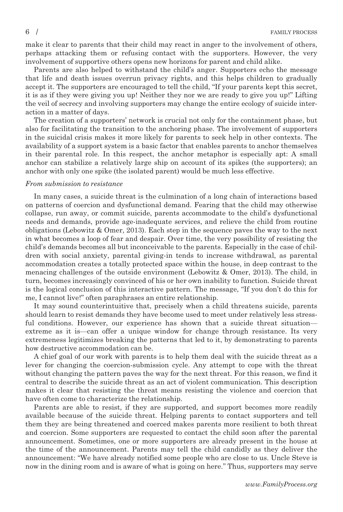make it clear to parents that their child may react in anger to the involvement of others, perhaps attacking them or refusing contact with the supporters. However, the very involvement of supportive others opens new horizons for parent and child alike.

Parents are also helped to withstand the child's anger. Supporters echo the message that life and death issues overrun privacy rights, and this helps children to gradually accept it. The supporters are encouraged to tell the child, "If your parents kept this secret, it is as if they were giving you up! Neither they nor we are ready to give you up!" Lifting the veil of secrecy and involving supporters may change the entire ecology of suicide interaction in a matter of days.

The creation of a supporters' network is crucial not only for the containment phase, but also for facilitating the transition to the anchoring phase. The involvement of supporters in the suicidal crisis makes it more likely for parents to seek help in other contexts. The availability of a support system is a basic factor that enables parents to anchor themselves in their parental role. In this respect, the anchor metaphor is especially apt: A small anchor can stabilize a relatively large ship on account of its spikes (the supporters); an anchor with only one spike (the isolated parent) would be much less effective.

# From submission to resistance

In many cases, a suicide threat is the culmination of a long chain of interactions based on patterns of coercion and dysfunctional demand. Fearing that the child may otherwise collapse, run away, or commit suicide, parents accommodate to the child's dysfunctional needs and demands, provide age-inadequate services, and relieve the child from routine obligations (Lebowitz & Omer, 2013). Each step in the sequence paves the way to the next in what becomes a loop of fear and despair. Over time, the very possibility of resisting the child's demands becomes all but inconceivable to the parents. Especially in the case of children with social anxiety, parental giving-in tends to increase withdrawal, as parental accommodation creates a totally protected space within the house, in deep contrast to the menacing challenges of the outside environment (Lebowitz & Omer, 2013). The child, in turn, becomes increasingly convinced of his or her own inability to function. Suicide threat is the logical conclusion of this interactive pattern. The message, "If you don't do this for me, I cannot live!" often paraphrases an entire relationship.

It may sound counterintuitive that, precisely when a child threatens suicide, parents should learn to resist demands they have become used to meet under relatively less stressful conditions. However, our experience has shown that a suicide threat situation extreme as it is—can offer a unique window for change through resistance. Its very extremeness legitimizes breaking the patterns that led to it, by demonstrating to parents how destructive accommodation can be.

A chief goal of our work with parents is to help them deal with the suicide threat as a lever for changing the coercion-submission cycle. Any attempt to cope with the threat without changing the pattern paves the way for the next threat. For this reason, we find it central to describe the suicide threat as an act of violent communication. This description makes it clear that resisting the threat means resisting the violence and coercion that have often come to characterize the relationship.

Parents are able to resist, if they are supported, and support becomes more readily available because of the suicide threat. Helping parents to contact supporters and tell them they are being threatened and coerced makes parents more resilient to both threat and coercion. Some supporters are requested to contact the child soon after the parental announcement. Sometimes, one or more supporters are already present in the house at the time of the announcement. Parents may tell the child candidly as they deliver the announcement: "We have already notified some people who are close to us. Uncle Steve is now in the dining room and is aware of what is going on here." Thus, supporters may serve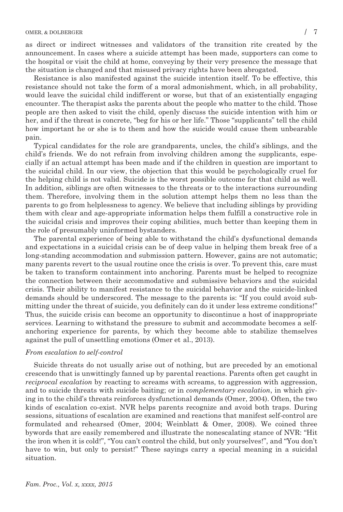as direct or indirect witnesses and validators of the transition rite created by the announcement. In cases where a suicide attempt has been made, supporters can come to the hospital or visit the child at home, conveying by their very presence the message that the situation is changed and that misused privacy rights have been abrogated.

Resistance is also manifested against the suicide intention itself. To be effective, this resistance should not take the form of a moral admonishment, which, in all probability, would leave the suicidal child indifferent or worse, but that of an existentially engaging encounter. The therapist asks the parents about the people who matter to the child. Those people are then asked to visit the child, openly discuss the suicide intention with him or her, and if the threat is concrete, "beg for his or her life." Those "supplicants" tell the child how important he or she is to them and how the suicide would cause them unbearable pain.

Typical candidates for the role are grandparents, uncles, the child's siblings, and the child's friends. We do not refrain from involving children among the supplicants, especially if an actual attempt has been made and if the children in question are important to the suicidal child. In our view, the objection that this would be psychologically cruel for the helping child is not valid. Suicide is the worst possible outcome for that child as well. In addition, siblings are often witnesses to the threats or to the interactions surrounding them. Therefore, involving them in the solution attempt helps them no less than the parents to go from helplessness to agency. We believe that including siblings by providing them with clear and age-appropriate information helps them fulfill a constructive role in the suicidal crisis and improves their coping abilities, much better than keeping them in the role of presumably uninformed bystanders.

The parental experience of being able to withstand the child's dysfunctional demands and expectations in a suicidal crisis can be of deep value in helping them break free of a long-standing accommodation and submission pattern. However, gains are not automatic; many parents revert to the usual routine once the crisis is over. To prevent this, care must be taken to transform containment into anchoring. Parents must be helped to recognize the connection between their accommodative and submissive behaviors and the suicidal crisis. Their ability to manifest resistance to the suicidal behavior and the suicide-linked demands should be underscored. The message to the parents is: "If you could avoid submitting under the threat of suicide, you definitely can do it under less extreme conditions!" Thus, the suicide crisis can become an opportunity to discontinue a host of inappropriate services. Learning to withstand the pressure to submit and accommodate becomes a selfanchoring experience for parents, by which they become able to stabilize themselves against the pull of unsettling emotions (Omer et al., 2013).

# From escalation to self-control

Suicide threats do not usually arise out of nothing, but are preceded by an emotional crescendo that is unwittingly fanned up by parental reactions. Parents often get caught in reciprocal escalation by reacting to screams with screams, to aggression with aggression, and to suicide threats with suicide baiting; or in *complementary escalation*, in which giving in to the child's threats reinforces dysfunctional demands (Omer, 2004). Often, the two kinds of escalation co-exist. NVR helps parents recognize and avoid both traps. During sessions, situations of escalation are examined and reactions that manifest self-control are formulated and rehearsed (Omer, 2004; Weinblatt & Omer, 2008). We coined three bywords that are easily remembered and illustrate the nonescalating stance of NVR: "Hit the iron when it is cold!", "You can't control the child, but only yourselves!", and "You don't have to win, but only to persist!" These sayings carry a special meaning in a suicidal situation.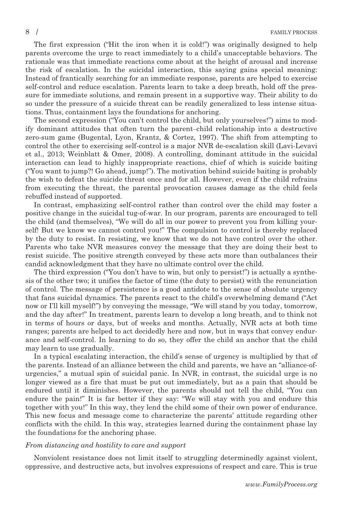The first expression ("Hit the iron when it is cold!") was originally designed to help parents overcome the urge to react immediately to a child's unacceptable behaviors. The rationale was that immediate reactions come about at the height of arousal and increase the risk of escalation. In the suicidal interaction, this saying gains special meaning: Instead of frantically searching for an immediate response, parents are helped to exercise self-control and reduce escalation. Parents learn to take a deep breath, hold off the pressure for immediate solutions, and remain present in a supportive way. Their ability to do so under the pressure of a suicide threat can be readily generalized to less intense situations. Thus, containment lays the foundations for anchoring.

The second expression ("You can't control the child, but only yourselves!") aims to modify dominant attitudes that often turn the parent–child relationship into a destructive zero-sum game (Bugental, Lyon, Krantz, & Cortez, 1997). The shift from attempting to control the other to exercising self-control is a major NVR de-escalation skill (Lavi-Levavi et al., 2013; Weinblatt & Omer, 2008). A controlling, dominant attitude in the suicidal interaction can lead to highly inappropriate reactions, chief of which is suicide baiting ("You want to jump?! Go ahead, jump!"). The motivation behind suicide baiting is probably the wish to defeat the suicide threat once and for all. However, even if the child refrains from executing the threat, the parental provocation causes damage as the child feels rebuffed instead of supported.

In contrast, emphasizing self-control rather than control over the child may foster a positive change in the suicidal tug-of-war. In our program, parents are encouraged to tell the child (and themselves), "We will do all in our power to prevent you from killing yourself! But we know we cannot control you!" The compulsion to control is thereby replaced by the duty to resist. In resisting, we know that we do not have control over the other. Parents who take NVR measures convey the message that they are doing their best to resist suicide. The positive strength conveyed by these acts more than outbalances their candid acknowledgment that they have no ultimate control over the child.

The third expression ("You don't have to win, but only to persist!") is actually a synthesis of the other two; it unifies the factor of time (the duty to persist) with the renunciation of control. The message of persistence is a good antidote to the sense of absolute urgency that fans suicidal dynamics. The parents react to the child's overwhelming demand ("Act now or I'll kill myself!") by conveying the message, "We will stand by you today, tomorrow, and the day after!" In treatment, parents learn to develop a long breath, and to think not in terms of hours or days, but of weeks and months. Actually, NVR acts at both time ranges; parents are helped to act decidedly here and now, but in ways that convey endurance and self-control. In learning to do so, they offer the child an anchor that the child may learn to use gradually.

In a typical escalating interaction, the child's sense of urgency is multiplied by that of the parents. Instead of an alliance between the child and parents, we have an "alliance-ofurgencies," a mutual spin of suicidal panic. In NVR, in contrast, the suicidal urge is no longer viewed as a fire that must be put out immediately, but as a pain that should be endured until it diminishes. However, the parents should not tell the child, "You can endure the pain!" It is far better if they say: "We will stay with you and endure this together with you!" In this way, they lend the child some of their own power of endurance. This new focus and message come to characterize the parents' attitude regarding other conflicts with the child. In this way, strategies learned during the containment phase lay the foundations for the anchoring phase.

#### From distancing and hostility to care and support

Nonviolent resistance does not limit itself to struggling determinedly against violent, oppressive, and destructive acts, but involves expressions of respect and care. This is true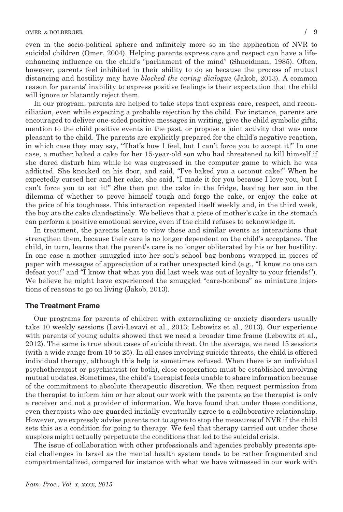# OMER, & DOLBERGER / 9

even in the socio-political sphere and infinitely more so in the application of NVR to suicidal children (Omer, 2004). Helping parents express care and respect can have a lifeenhancing influence on the child's "parliament of the mind" (Shneidman, 1985). Often, however, parents feel inhibited in their ability to do so because the process of mutual distancing and hostility may have *blocked the caring dialogue* (Jakob, 2013). A common reason for parents' inability to express positive feelings is their expectation that the child will ignore or blatantly reject them.

In our program, parents are helped to take steps that express care, respect, and reconciliation, even while expecting a probable rejection by the child. For instance, parents are encouraged to deliver one-sided positive messages in writing, give the child symbolic gifts, mention to the child positive events in the past, or propose a joint activity that was once pleasant to the child. The parents are explicitly prepared for the child's negative reaction, in which case they may say, "That's how I feel, but I can't force you to accept it!" In one case, a mother baked a cake for her 15-year-old son who had threatened to kill himself if she dared disturb him while he was engrossed in the computer game to which he was addicted. She knocked on his door, and said, "I've baked you a coconut cake!" When he expectedly cursed her and her cake, she said, "I made it for you because I love you, but I can't force you to eat it!" She then put the cake in the fridge, leaving her son in the dilemma of whether to prove himself tough and forgo the cake, or enjoy the cake at the price of his toughness. This interaction repeated itself weekly and, in the third week, the boy ate the cake clandestinely. We believe that a piece of mother's cake in the stomach can perform a positive emotional service, even if the child refuses to acknowledge it.

In treatment, the parents learn to view those and similar events as interactions that strengthen them, because their care is no longer dependent on the child's acceptance. The child, in turn, learns that the parent's care is no longer obliterated by his or her hostility. In one case a mother smuggled into her son's school bag bonbons wrapped in pieces of paper with messages of appreciation of a rather unexpected kind (e.g., "I know no one can defeat you!" and "I know that what you did last week was out of loyalty to your friends!"). We believe he might have experienced the smuggled "care-bonbons" as miniature injections of reasons to go on living (Jakob, 2013).

# The Treatment Frame

Our programs for parents of children with externalizing or anxiety disorders usually take 10 weekly sessions (Lavi-Levavi et al., 2013; Lebowitz et al., 2013). Our experience with parents of young adults showed that we need a broader time frame (Lebowitz et al., 2012). The same is true about cases of suicide threat. On the average, we need 15 sessions (with a wide range from 10 to 25). In all cases involving suicide threats, the child is offered individual therapy, although this help is sometimes refused. When there is an individual psychotherapist or psychiatrist (or both), close cooperation must be established involving mutual updates. Sometimes, the child's therapist feels unable to share information because of the commitment to absolute therapeutic discretion. We then request permission from the therapist to inform him or her about our work with the parents so the therapist is only a receiver and not a provider of information. We have found that under these conditions, even therapists who are guarded initially eventually agree to a collaborative relationship. However, we expressly advise parents not to agree to stop the measures of NVR if the child sets this as a condition for going to therapy. We feel that therapy carried out under those auspices might actually perpetuate the conditions that led to the suicidal crisis.

The issue of collaboration with other professionals and agencies probably presents special challenges in Israel as the mental health system tends to be rather fragmented and compartmentalized, compared for instance with what we have witnessed in our work with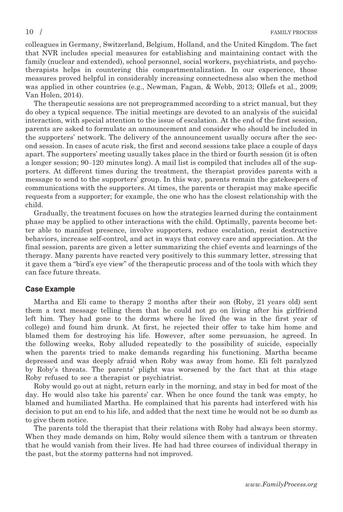colleagues in Germany, Switzerland, Belgium, Holland, and the United Kingdom. The fact that NVR includes special measures for establishing and maintaining contact with the family (nuclear and extended), school personnel, social workers, psychiatrists, and psychotherapists helps in countering this compartmentalization. In our experience, those measures proved helpful in considerably increasing connectedness also when the method was applied in other countries (e.g., Newman, Fagan, & Webb, 2013; Ollefs et al., 2009; Van Holen, 2014).

The therapeutic sessions are not preprogrammed according to a strict manual, but they do obey a typical sequence. The initial meetings are devoted to an analysis of the suicidal interaction, with special attention to the issue of escalation. At the end of the first session, parents are asked to formulate an announcement and consider who should be included in the supporters' network. The delivery of the announcement usually occurs after the second session. In cases of acute risk, the first and second sessions take place a couple of days apart. The supporters' meeting usually takes place in the third or fourth session (it is often a longer session; 90–120 minutes long). A mail list is compiled that includes all of the supporters. At different times during the treatment, the therapist provides parents with a message to send to the supporters' group. In this way, parents remain the gatekeepers of communications with the supporters. At times, the parents or therapist may make specific requests from a supporter; for example, the one who has the closest relationship with the child.

Gradually, the treatment focuses on how the strategies learned during the containment phase may be applied to other interactions with the child. Optimally, parents become better able to manifest presence, involve supporters, reduce escalation, resist destructive behaviors, increase self-control, and act in ways that convey care and appreciation. At the final session, parents are given a letter summarizing the chief events and learnings of the therapy. Many parents have reacted very positively to this summary letter, stressing that it gave them a "bird's eye view" of the therapeutic process and of the tools with which they can face future threats.

# Case Example

Martha and Eli came to therapy 2 months after their son (Roby, 21 years old) sent them a text message telling them that he could not go on living after his girlfriend left him. They had gone to the dorms where he lived (he was in the first year of college) and found him drunk. At first, he rejected their offer to take him home and blamed them for destroying his life. However, after some persuasion, he agreed. In the following weeks, Roby alluded repeatedly to the possibility of suicide, especially when the parents tried to make demands regarding his functioning. Martha became depressed and was deeply afraid when Roby was away from home. Eli felt paralyzed by Roby's threats. The parents' plight was worsened by the fact that at this stage Roby refused to see a therapist or psychiatrist.

Roby would go out at night, return early in the morning, and stay in bed for most of the day. He would also take his parents' car. When he once found the tank was empty, he blamed and humiliated Martha. He complained that his parents had interfered with his decision to put an end to his life, and added that the next time he would not be so dumb as to give them notice.

The parents told the therapist that their relations with Roby had always been stormy. When they made demands on him, Roby would silence them with a tantrum or threaten that he would vanish from their lives. He had had three courses of individual therapy in the past, but the stormy patterns had not improved.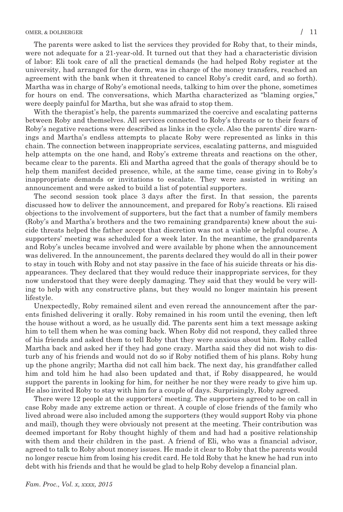The parents were asked to list the services they provided for Roby that, to their minds, were not adequate for a 21-year-old. It turned out that they had a characteristic division of labor: Eli took care of all the practical demands (he had helped Roby register at the university, had arranged for the dorm, was in charge of the money transfers, reached an agreement with the bank when it threatened to cancel Roby's credit card, and so forth). Martha was in charge of Roby's emotional needs, talking to him over the phone, sometimes for hours on end. The conversations, which Martha characterized as "blaming orgies," were deeply painful for Martha, but she was afraid to stop them.

With the therapist's help, the parents summarized the coercive and escalating patterns between Roby and themselves. All services connected to Roby's threats or to their fears of Roby's negative reactions were described as links in the cycle. Also the parents' dire warnings and Martha's endless attempts to placate Roby were represented as links in this chain. The connection between inappropriate services, escalating patterns, and misguided help attempts on the one hand, and Roby's extreme threats and reactions on the other, became clear to the parents. Eli and Martha agreed that the goals of therapy should be to help them manifest decided presence, while, at the same time, cease giving in to Roby's inappropriate demands or invitations to escalate. They were assisted in writing an announcement and were asked to build a list of potential supporters.

The second session took place 3 days after the first. In that session, the parents discussed how to deliver the announcement, and prepared for Roby's reactions. Eli raised objections to the involvement of supporters, but the fact that a number of family members (Roby's and Martha's brothers and the two remaining grandparents) knew about the suicide threats helped the father accept that discretion was not a viable or helpful course. A supporters' meeting was scheduled for a week later. In the meantime, the grandparents and Roby's uncles became involved and were available by phone when the announcement was delivered. In the announcement, the parents declared they would do all in their power to stay in touch with Roby and not stay passive in the face of his suicide threats or his disappearances. They declared that they would reduce their inappropriate services, for they now understood that they were deeply damaging. They said that they would be very willing to help with any constructive plans, but they would no longer maintain his present lifestyle.

Unexpectedly, Roby remained silent and even reread the announcement after the parents finished delivering it orally. Roby remained in his room until the evening, then left the house without a word, as he usually did. The parents sent him a text message asking him to tell them when he was coming back. When Roby did not respond, they called three of his friends and asked them to tell Roby that they were anxious about him. Roby called Martha back and asked her if they had gone crazy. Martha said they did not wish to disturb any of his friends and would not do so if Roby notified them of his plans. Roby hung up the phone angrily; Martha did not call him back. The next day, his grandfather called him and told him he had also been updated and that, if Roby disappeared, he would support the parents in looking for him, for neither he nor they were ready to give him up. He also invited Roby to stay with him for a couple of days. Surprisingly, Roby agreed.

There were 12 people at the supporters' meeting. The supporters agreed to be on call in case Roby made any extreme action or threat. A couple of close friends of the family who lived abroad were also included among the supporters (they would support Roby via phone and mail), though they were obviously not present at the meeting. Their contribution was deemed important for Roby thought highly of them and had had a positive relationship with them and their children in the past. A friend of Eli, who was a financial advisor, agreed to talk to Roby about money issues. He made it clear to Roby that the parents would no longer rescue him from losing his credit card. He told Roby that he knew he had run into debt with his friends and that he would be glad to help Roby develop a financial plan.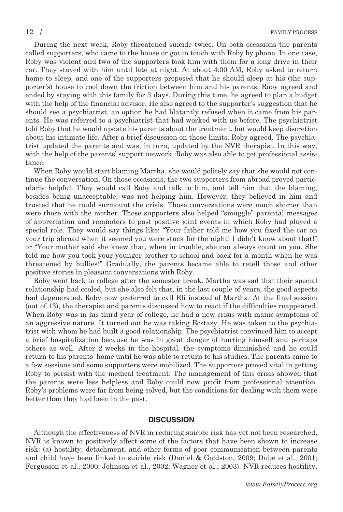During the next week, Roby threatened suicide twice. On both occasions the parents called supporters, who came to the house or got in touch with Roby by phone. In one case, Roby was violent and two of the supporters took him with them for a long drive in their car. They stayed with him until late at night. At about 4:00 AM, Roby asked to return home to sleep, and one of the supporters proposed that he should sleep at his (the supporter's) house to cool down the friction between him and his parents. Roby agreed and ended by staying with this family for 3 days. During this time, he agreed to plan a budget with the help of the financial advisor. He also agreed to the supporter's suggestion that he should see a psychiatrist, an option he had blatantly refused when it came from his parents. He was referred to a psychiatrist that had worked with us before. The psychiatrist told Roby that he would update his parents about the treatment, but would keep discretion about his intimate life. After a brief discussion on those limits, Roby agreed. The psychiatrist updated the parents and was, in turn, updated by the NVR therapist. In this way, with the help of the parents' support network, Roby was also able to get professional assistance.

When Roby would start blaming Martha, she would politely say that she would not continue the conversation. On those occasions, the two supporters from abroad proved particularly helpful. They would call Roby and talk to him, and tell him that the blaming, besides being unacceptable, was not helping him. However, they believed in him and trusted that he could surmount the crisis. Those conversations were much shorter than were those with the mother. Those supporters also helped "smuggle" parental messages of appreciation and reminders to past positive joint events in which Roby had played a special role. They would say things like: "Your father told me how you fixed the car on your trip abroad when it seemed you were stuck for the night! I didn't know about that!" or "Your mother said she knew that, when in trouble, she can always count on you. She told me how you took your younger brother to school and back for a month when he was threatened by bullies!" Gradually, the parents became able to retell those and other positive stories in pleasant conversations with Roby.

Roby went back to college after the semester break. Martha was sad that their special relationship had cooled, but she also felt that, in the last couple of years, the good aspects had degenerated. Roby now preferred to call Eli instead of Martha. At the final session (out of 13), the therapist and parents discussed how to react if the difficulties reappeared. When Roby was in his third year of college, he had a new crisis with manic symptoms of an aggressive nature. It turned out he was taking Ecstasy. He was taken to the psychiatrist with whom he had built a good relationship. The psychiatrist convinced him to accept a brief hospitalization because he was in great danger of hurting himself and perhaps others as well. After 2 weeks in the hospital, the symptoms diminished and he could return to his parents' home until he was able to return to his studies. The parents came to a few sessions and some supporters were mobilized. The supporters proved vital in getting Roby to persist with the medical treatment. The management of this crisis showed that the parents were less helpless and Roby could now profit from professional attention. Roby's problems were far from being solved, but the conditions for dealing with them were better than they had been in the past.

## **DISCUSSION**

Although the effectiveness of NVR in reducing suicide risk has yet not been researched, NVR is known to positively affect some of the factors that have been shown to increase risk: (a) hostility, detachment, and other forms of poor communication between parents and child have been linked to suicide risk (Daniel & Goldston, 2009; Dube et al., 2001; Fergusson et al., 2000; Johnson et al., 2002; Wagner et al., 2003). NVR reduces hostility,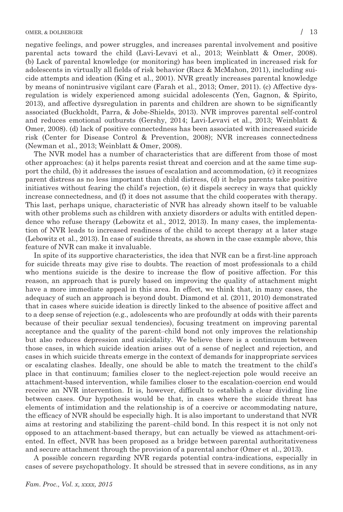negative feelings, and power struggles, and increases parental involvement and positive parental acts toward the child (Lavi-Levavi et al., 2013; Weinblatt & Omer, 2008). (b) Lack of parental knowledge (or monitoring) has been implicated in increased risk for adolescents in virtually all fields of risk behavior (Racz & McMahon, 2011), including suicide attempts and ideation (King et al., 2001). NVR greatly increases parental knowledge by means of nonintrusive vigilant care (Farah et al., 2013; Omer, 2011). (c) Affective dysregulation is widely experienced among suicidal adolescents (Yen, Gagnon, & Spirito, 2013), and affective dysregulation in parents and children are shown to be significantly associated (Buckholdt, Parra, & Jobe-Shields, 2013). NVR improves parental self-control and reduces emotional outbursts (Gershy, 2014; Lavi-Levavi et al., 2013; Weinblatt & Omer, 2008). (d) lack of positive connectedness has been associated with increased suicide risk (Center for Disease Control & Prevention, 2008); NVR increases connectedness (Newman et al., 2013; Weinblatt & Omer, 2008).

The NVR model has a number of characteristics that are different from those of most other approaches: (a) it helps parents resist threat and coercion and at the same time support the child, (b) it addresses the issues of escalation and accommodation, (c) it recognizes parent distress as no less important than child distress, (d) it helps parents take positive initiatives without fearing the child's rejection, (e) it dispels secrecy in ways that quickly increase connectedness, and (f) it does not assume that the child cooperates with therapy. This last, perhaps unique, characteristic of NVR has already shown itself to be valuable with other problems such as children with anxiety disorders or adults with entitled dependence who refuse therapy (Lebowitz et al., 2012, 2013). In many cases, the implementation of NVR leads to increased readiness of the child to accept therapy at a later stage (Lebowitz et al., 2013). In case of suicide threats, as shown in the case example above, this feature of NVR can make it invaluable.

In spite of its supportive characteristics, the idea that NVR can be a first-line approach for suicide threats may give rise to doubts. The reaction of most professionals to a child who mentions suicide is the desire to increase the flow of positive affection. For this reason, an approach that is purely based on improving the quality of attachment might have a more immediate appeal in this area. In effect, we think that, in many cases, the adequacy of such an approach is beyond doubt. Diamond et al. (2011, 2010) demonstrated that in cases where suicide ideation is directly linked to the absence of positive affect and to a deep sense of rejection (e.g., adolescents who are profoundly at odds with their parents because of their peculiar sexual tendencies), focusing treatment on improving parental acceptance and the quality of the parent–child bond not only improves the relationship but also reduces depression and suicidality. We believe there is a continuum between those cases, in which suicide ideation arises out of a sense of neglect and rejection, and cases in which suicide threats emerge in the context of demands for inappropriate services or escalating clashes. Ideally, one should be able to match the treatment to the child's place in that continuum; families closer to the neglect-rejection pole would receive an attachment-based intervention, while families closer to the escalation-coercion end would receive an NVR intervention. It is, however, difficult to establish a clear dividing line between cases. Our hypothesis would be that, in cases where the suicide threat has elements of intimidation and the relationship is of a coercive or accommodating nature, the efficacy of NVR should be especially high. It is also important to understand that NVR aims at restoring and stabilizing the parent–child bond. In this respect it is not only not opposed to an attachment-based therapy, but can actually be viewed as attachment-oriented. In effect, NVR has been proposed as a bridge between parental authoritativeness and secure attachment through the provision of a parental anchor (Omer et al., 2013).

A possible concern regarding NVR regards potential contra-indications, especially in cases of severe psychopathology. It should be stressed that in severe conditions, as in any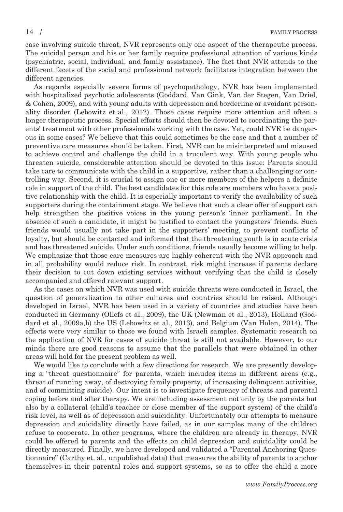case involving suicide threat, NVR represents only one aspect of the therapeutic process. The suicidal person and his or her family require professional attention of various kinds (psychiatric, social, individual, and family assistance). The fact that NVR attends to the different facets of the social and professional network facilitates integration between the different agencies.

As regards especially severe forms of psychopathology, NVR has been implemented with hospitalized psychotic adolescents (Goddard, Van Gink, Van der Stegen, Van Driel, & Cohen, 2009), and with young adults with depression and borderline or avoidant personality disorder (Lebowitz et al., 2012). Those cases require more attention and often a longer therapeutic process. Special efforts should then be devoted to coordinating the parents' treatment with other professionals working with the case. Yet, could NVR be dangerous in some cases? We believe that this could sometimes be the case and that a number of preventive care measures should be taken. First, NVR can be misinterpreted and misused to achieve control and challenge the child in a truculent way. With young people who threaten suicide, considerable attention should be devoted to this issue: Parents should take care to communicate with the child in a supportive, rather than a challenging or controlling way. Second, it is crucial to assign one or more members of the helpers a definite role in support of the child. The best candidates for this role are members who have a positive relationship with the child. It is especially important to verify the availability of such supporters during the containment stage. We believe that such a clear offer of support can help strengthen the positive voices in the young person's 'inner parliament'. In the absence of such a candidate, it might be justified to contact the youngsters' friends. Such friends would usually not take part in the supporters' meeting, to prevent conflicts of loyalty, but should be contacted and informed that the threatening youth is in acute crisis and has threatened suicide. Under such conditions, friends usually become willing to help. We emphasize that those care measures are highly coherent with the NVR approach and in all probability would reduce risk. In contrast, risk might increase if parents declare their decision to cut down existing services without verifying that the child is closely accompanied and offered relevant support.

As the cases on which NVR was used with suicide threats were conducted in Israel, the question of generalization to other cultures and countries should be raised. Although developed in Israel, NVR has been used in a variety of countries and studies have been conducted in Germany (Ollefs et al., 2009), the UK (Newman et al., 2013), Holland (Goddard et al., 2009a,b) the US (Lebowitz et al., 2013), and Belgium (Van Holen, 2014). The effects were very similar to those we found with Israeli samples. Systematic research on the application of NVR for cases of suicide threat is still not available. However, to our minds there are good reasons to assume that the parallels that were obtained in other areas will hold for the present problem as well.

We would like to conclude with a few directions for research. We are presently developing a "threat questionnaire" for parents, which includes items in different areas (e.g., threat of running away, of destroying family property, of increasing delinquent activities, and of committing suicide). Our intent is to investigate frequency of threats and parental coping before and after therapy. We are including assessment not only by the parents but also by a collateral (child's teacher or close member of the support system) of the child's risk level, as well as of depression and suicidality. Unfortunately our attempts to measure depression and suicidality directly have failed, as in our samples many of the children refuse to cooperate. In other programs, where the children are already in therapy, NVR could be offered to parents and the effects on child depression and suicidality could be directly measured. Finally, we have developed and validated a "Parental Anchoring Questionnaire" (Carthy et. al., unpublished data) that measures the ability of parents to anchor themselves in their parental roles and support systems, so as to offer the child a more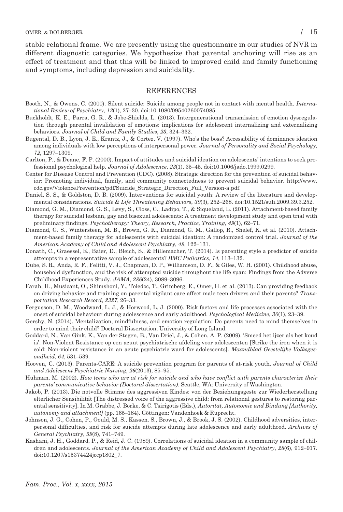stable relational frame. We are presently using the questionnaire in our studies of NVR in different diagnostic categories. We hypothesize that parental anchoring will rise as an effect of treatment and that this will be linked to improved child and family functioning and symptoms, including depression and suicidality.

# REFERENCES

- Booth, N., & Owens, C. (2000). Silent suicide: Suicide among people not in contact with mental health. International Review of Psychiatry, 12(1), 27–30. doi:10.1080/09540260074085.
- Buckholdt, K. E., Parra, G. R., & Jobe-Shields, L. (2013). Intergenerational transmission of emotion dysregulation through parental invalidation of emotions: implications for adolescent internalizing and externalizing behaviors. Journal of Child and Family Studies, 23, 324–332.
- Bugental, D. B., Lyon, J. E., Krantz, J., & Cortez, V. (1997). Who's the boss? Accessibility of dominance ideation among individuals with low perceptions of interpersonal power. Journal of Personality and Social Psychology, 72, 1297–1309.
- Carlton, P., & Deane, F. P. (2000). Impact of attitudes and suicidal ideation on adolescents' intentions to seek professional psychological help. Journal of Adolescence, 23(1), 35–45. doi:10.1006/jado.1999.0299.
- Center for Disease Control and Prevention (CDC). (2008). Strategic direction for the prevention of suicidal behavior: Promoting individual, family, and community connectedness to prevent suicidal behavior. http://www. cdc.gov/ViolencePrevention/pdf/Suicide\_Strategic\_Direction\_Full\_Version-a.pdf.
- Daniel, S. S., & Goldston, D. B. (2009). Interventions for suicidal youth: A review of the literature and developmental considerations. Suicide & Life Threatening Behaviors, 39(3), 252–268. doi:10.1521/suli.2009.39.3.252.
- Diamond, G. M., Diamond, G. S., Levy, S., Closs, C., Ladipo, T., & Siqueland, L. (2011). Attachment-based family therapy for suicidal lesbian, gay and bisexual adolescents: A treatment development study and open trial with preliminary findings. Psychotherapy: Theory, Research, Practice, Training, 49(1), 62–71.
- Diamond, G. S., Wintersteen, M. B., Brown, G. K., Diamond, G. M., Gallop, R., Shelef, K. et al. (2010). Attachment-based family therapy for adolescents with suicidal ideation: A randomized control trial. Journal of the American Academy of Child and Adolescent Psychiatry, 49, 122–131.
- Donath, C., Graessel, E., Baier, D., Bleich, S., & Hillemacher, T. (2014). Is parenting style a predictor of suicide attempts in a representative sample of adolescents? BMC Pediatrics, 14, 113–132.
- Dube, S. R., Anda, R. F., Felitti, V. J., Chapman, D. P., Williamson, D. F., & Giles, W. H. (2001). Childhood abuse, household dysfunction, and the risk of attempted suicide throughout the life span: Findings from the Adverse Childhood Experiences Study. JAMA, 286(24), 3089–3096.
- Farah, H., Musicant, O., Shimshoni, Y., Toledoc, T., Grimberg, E., Omer, H. et al. (2013). Can providing feedback on driving behavior and training on parental vigilant care affect male teen drivers and their parents? Transportation Research Record, 2327, 26–33.
- Fergusson, D. M., Woodward, L. J., & Horwood, L. J. (2000). Risk factors and life processes associated with the onset of suicidal behaviour during adolescence and early adulthood. Psychological Medicine, 30(1), 23–39.
- Gershy, N. (2014). Mentalization, mindfulness, and emotion regulation: Do parents need to mind themselves in order to mind their child? Doctoral Dissertation, University of Long Island.
- Goddard, N., Van Gink, K., Van der Stegen, B., Van Driel, J., & Cohen, A. P. (2009). 'Smeed het ijzer als het koud is'. Non-Violent Resistance op een acuut psychiatrische afdeling voor adolescenten [Strike the iron when it is cold: Non-violent resistance in an acute psychiatric ward for adolescents]. Maandblad Geestelijke Volksgezondheid, 64, 531–539.
- Hooven, C. (2013). Parents-CARE: A suicide prevention program for parents of at-risk youth. Journal of Child and Adolescent Psychiatric Nursing, 26(2013), 85–95.
- Huhman, M. (2002). How teens who are at risk for suicide and who have conflict with parents characterize their parents' communicative behavior (Doctoral dissertation). Seattle, WA: University of Washington.
- Jakob, P. (2013). Die notvolle Stimme des aggressiven Kindes: von der Beziehungsgeste zur Wiederherstellung elterlicher Sensibilität [The distressed voice of the aggressive child: from relational gestures to restoring parental sensitivity]. In M. Grabbe, J. Borke, & C. Tsirigotis (Eds.), Autorität, Autonomie und Bindung [Authority, autonomy and attachment] (pp. 165–184). Gӧttingen: Vandenhoek & Ruprecht.
- Johnson, J. G., Cohen, P., Gould, M. S., Kassen, S., Brown, J., & Brook, J. S. (2002). Childhood adversities, interpersonal difficulties, and risk for suicide attempts during late adolescence and early adulthood. Archives of General Psychiatry, 59(8), 741–749.
- Kashani, J. H., Goddard, P., & Reid, J. C. (1989). Correlations of suicidal ideation in a community sample of children and adolescents. Journal of the American Academy of Child and Adolescent Psychiatry, 28(6), 912–917. doi:10.1207/s15374424jccp1802\_7.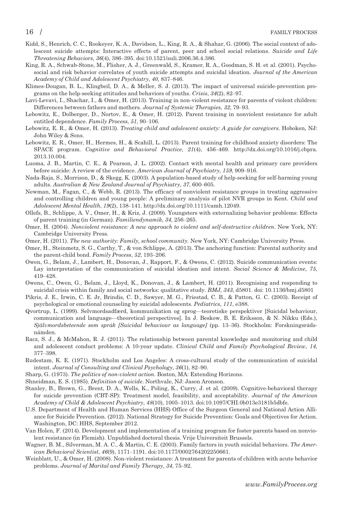- Kidd, S., Henrich, C. C., Rookeyer, K. A., Davidson, L., King, R. A., & Shahar, G. (2006). The social context of adolescent suicide attempts: Interactive effects of parent, peer and school social relations. Suicide and Life Threatening Behaviors, 36(4), 386–395. doi:10.1521/suli.2006.36.4.386.
- King, R. A., Schwab-Stone, M., Flisher, A. J., Greenwald, S., Kramer, R. A., Goodman, S. H. et al. (2001). Psychosocial and risk behavior correlates of youth suicide attempts and suicidal ideation. Journal of the American Academy of Child and Adolescent Psychiatry, 40, 837–846.
- Klimes-Dougan, B. L., Klingbeil, D. A., & Meller, S. J. (2013). The impact of universal suicide-prevention programs on the help-seeking attitudes and behaviors of youths. Crisis, 34(2), 82–97.
- Lavi-Levavi, I., Shachar, I., & Omer, H. (2013). Training in non-violent resistance for parents of violent children: Differences between fathers and mothers. Journal of Systemic Therapies, 32, 79–93.
- Lebowitz, E., Dolberger, D., Nortov, E., & Omer, H. (2012). Parent training in nonviolent resistance for adult entitled dependence. Family Process, 51, 90–106.
- Lebowitz, E. R., & Omer, H. (2013). Treating child and adolescent anxiety: A guide for caregivers. Hoboken, NJ: John Wiley & Sons.
- Lebowitz, E. R., Omer, H., Hermes, H., & Scahill, L. (2013). Parent training for childhood anxiety disorders: The SPACE program. Cognitive and Behavioral Practice, 21(4), 456–469. http://dx.doi.org/10.1016/j.cbpra. 2013.10.004.
- Luoma, J. B., Martin, C. E., & Pearson, J. L. (2002). Contact with mental health and primary care providers before suicide: A review of the evidence. American Journal of Psychiatry, 159, 909–916.
- Nada-Raja, S., Morrison, D., & Skegg, K. (2003). A population-based study of help-seeking for self-harming young adults. Australian & New Zealand Journal of Psychiatry, 37, 600–605.
- Newman, M., Fagan, C., & Webb, R. (2013). The efficacy of nonviolent resistance groups in treating aggressive and controlling children and young people: A preliminary analysis of pilot NVR groups in Kent. Child and Adolescent Mental Health, 19(2), 138–141. http://dx.doi.org/10.1111/camh.12049.
- Ollefs, B., Schlippe, A. V., Omer, H., & Kriz, J. (2009). Youngsters with externalizing behavior problems: Effects of parent training (in German). Familiendynamik, 34, 256–265.
- Omer, H. (2004). Nonviolent resistance: A new approach to violent and self-destructive children. New York, NY: Cambridge University Press.
- Omer, H. (2011). The new authority: Family, school community. New York, NY: Cambridge University Press.
- Omer, H., Steinmetz, S. G., Carthy, T., & von Schlippe, A. (2013). The anchoring function: Parental authority and the parent-child bond. Family Process, 52, 193–206.
- Owen, G., Belam, J., Lambert, H., Donovan, J., Rapport, F., & Owens, C. (2012). Suicide communication events: Lay interpretation of the communication of suicidal ideation and intent. Social Science & Medicine, 75, 419–428.
- Owens, C., Owen, G., Belam, J., Lloyd, K., Donovan, J., & Lambert, H. (2011). Recognising and responding to suicidal crisis within family and social networks: qualitative study. BMJ, 343, d5801. doi: 10.1136/bmj.d5801
- Pikris, J. E., Irwin, C. E. Jr, Brindis, C. D., Sawyer, M. G., Friestad, C. B., & Patton, G. C. (2003). Receipt of psychological or emotional counseling by suicidal adolescents. Pediatrics, 111, e388.
- Qvortrup, L. (1999). Selvmordsadfærd, kommunikation og sprog—teoretiske perspektiver [Suicidal behaviour, communication and language—theoretical perspectives]. In J. Beskow, B. E. Eriksson, & N. Nikku (Eds.), Självmordsbeteende som språk [Suicidal behaviour as language] (pp. 13–36). Stockholm: Forskningsrådsnämden.
- Racz, S. J., & McMahon, R. J. (2011). The relationship between parental knowledge and monitoring and child and adolescent conduct problems: A 10-year update. Clinical Child and Family Psychological Review, 14, 377–398.
- Rudestam, K. E. (1971). Stockholm and Los Angeles: A cross-cultural study of the communication of suicidal intent. Journal of Consulting and Clinical Psychology, 36(1), 82–90.
- Sharp, G. (1973). The politics of non-violent action. Boston, MA: Extending Horizons.
- Shneidman, E. S. (1985). Definition of suicide. Northvale, NJ: Jason Aronson.
- Stanley, B., Brown, G., Brent, D. A., Wells, K., Poling, K., Curry, J. et al. (2009). Cognitive-behavioral therapy for suicide prevention (CBT-SP): Treatment model, feasibility, and acceptability. Journal of the American Academy of Child & Adolescent Psychiatry, 48(10), 1005–1013. doi:10.1097/CHI.0b013e3181b5dbfe.
- U.S. Department of Health and Human Services (HHS) Office of the Surgeon General and National Action Alliance for Suicide Prevention. (2012). National Strategy for Suicide Prevention: Goals and Objectives for Action. Washington, DC: HHS, September 2012.
- Van Holen, F. (2014). Development and implementation of a training program for foster parents based on nonviolent resistance (in Flemish). Unpublished doctoral thesis. Vrije Universiteit Brussels.
- Wagner, B. M., Silverman, M. A. C., & Martin, C. E. (2003). Family factors in youth suicidal behaviors. The American Behavioral Scientist, 46(9), 1171–1191. doi:10.1177/0002764202250661.
- Weinblatt, U., & Omer, H. (2008). Non-violent resistance: A treatment for parents of children with acute behavior problems. Journal of Marital and Family Therapy, 34, 75–92.